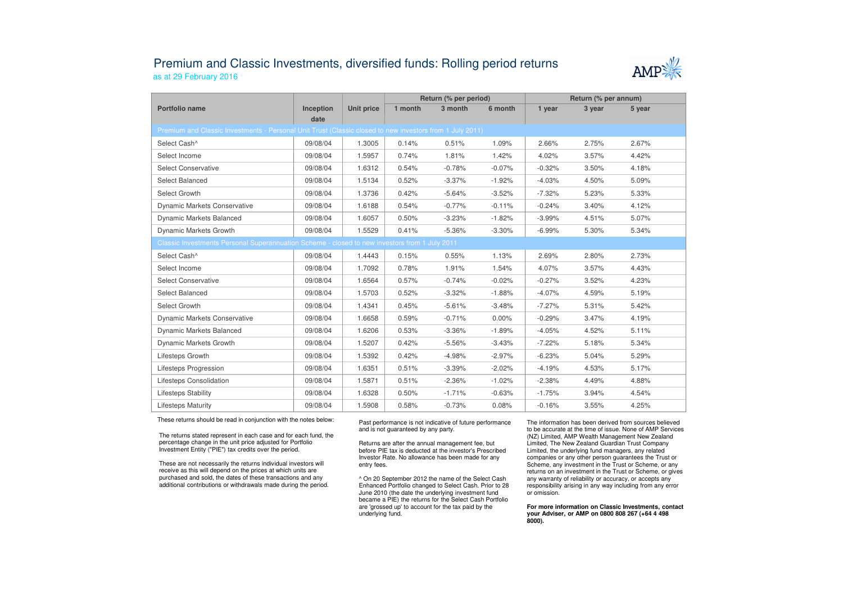## Premium and Classic Investments, diversified funds: Rolling period returnsas at 29 February 2016



|                                                                                                          |                   |                   |         | Return (% per period) |          | Return (% per annum) |        |        |  |  |  |  |  |
|----------------------------------------------------------------------------------------------------------|-------------------|-------------------|---------|-----------------------|----------|----------------------|--------|--------|--|--|--|--|--|
| Portfolio name                                                                                           | Inception<br>date | <b>Unit price</b> | 1 month | 3 month               | 6 month  | 1 year               | 3 year | 5 year |  |  |  |  |  |
| Premium and Classic Investments - Personal Unit Trust (Classic closed to new investors from 1 July 2011) |                   |                   |         |                       |          |                      |        |        |  |  |  |  |  |
| Select Cash^                                                                                             | 09/08/04          | 1.3005            | 0.14%   | 0.51%                 | 1.09%    | 2.66%                | 2.75%  | 2.67%  |  |  |  |  |  |
| Select Income                                                                                            | 09/08/04          | 1.5957            | 0.74%   | 1.81%                 | 1.42%    | 4.02%                | 3.57%  | 4.42%  |  |  |  |  |  |
| <b>Select Conservative</b>                                                                               | 09/08/04          | 1.6312            | 0.54%   | $-0.78%$              | $-0.07%$ | $-0.32%$             | 3.50%  | 4.18%  |  |  |  |  |  |
| Select Balanced                                                                                          | 09/08/04          | 1.5134            | 0.52%   | $-3.37%$              | $-1.92%$ | $-4.03%$             | 4.50%  | 5.09%  |  |  |  |  |  |
| Select Growth                                                                                            | 09/08/04          | 1.3736            | 0.42%   | $-5.64%$              | $-3.52%$ | $-7.32%$             | 5.23%  | 5.33%  |  |  |  |  |  |
| <b>Dynamic Markets Conservative</b>                                                                      | 09/08/04          | 1.6188            | 0.54%   | $-0.77%$              | $-0.11%$ | $-0.24%$             | 3.40%  | 4.12%  |  |  |  |  |  |
| <b>Dynamic Markets Balanced</b>                                                                          | 09/08/04          | 1.6057            | 0.50%   | $-3.23%$              | $-1.82%$ | $-3.99%$             | 4.51%  | 5.07%  |  |  |  |  |  |
| Dynamic Markets Growth                                                                                   | 09/08/04          | 1.5529            | 0.41%   | $-5.36%$              | $-3.30%$ | $-6.99%$             | 5.30%  | 5.34%  |  |  |  |  |  |
| Classic Investments Personal Superannuation Scheme - closed to new investors from 1 July 2011            |                   |                   |         |                       |          |                      |        |        |  |  |  |  |  |
| Select Cash^                                                                                             | 09/08/04          | 1.4443            | 0.15%   | 0.55%                 | 1.13%    | 2.69%                | 2.80%  | 2.73%  |  |  |  |  |  |
| Select Income                                                                                            | 09/08/04          | 1.7092            | 0.78%   | 1.91%                 | 1.54%    | 4.07%                | 3.57%  | 4.43%  |  |  |  |  |  |
| <b>Select Conservative</b>                                                                               | 09/08/04          | 1.6564            | 0.57%   | $-0.74%$              | $-0.02%$ | $-0.27%$             | 3.52%  | 4.23%  |  |  |  |  |  |
| Select Balanced                                                                                          | 09/08/04          | 1.5703            | 0.52%   | $-3.32%$              | $-1.88%$ | $-4.07%$             | 4.59%  | 5.19%  |  |  |  |  |  |
| Select Growth                                                                                            | 09/08/04          | 1.4341            | 0.45%   | $-5.61%$              | $-3.48%$ | $-7.27%$             | 5.31%  | 5.42%  |  |  |  |  |  |
| <b>Dynamic Markets Conservative</b>                                                                      | 09/08/04          | 1.6658            | 0.59%   | $-0.71%$              | $0.00\%$ | $-0.29%$             | 3.47%  | 4.19%  |  |  |  |  |  |
| <b>Dynamic Markets Balanced</b>                                                                          | 09/08/04          | 1.6206            | 0.53%   | $-3.36%$              | $-1.89%$ | $-4.05%$             | 4.52%  | 5.11%  |  |  |  |  |  |
| Dynamic Markets Growth                                                                                   | 09/08/04          | 1.5207            | 0.42%   | $-5.56%$              | $-3.43%$ | $-7.22%$             | 5.18%  | 5.34%  |  |  |  |  |  |
| Lifesteps Growth                                                                                         | 09/08/04          | 1.5392            | 0.42%   | $-4.98%$              | $-2.97%$ | $-6.23%$             | 5.04%  | 5.29%  |  |  |  |  |  |
| Lifesteps Progression                                                                                    | 09/08/04          | 1.6351            | 0.51%   | $-3.39%$              | $-2.02%$ | $-4.19%$             | 4.53%  | 5.17%  |  |  |  |  |  |
| Lifesteps Consolidation                                                                                  | 09/08/04          | 1.5871            | 0.51%   | $-2.36%$              | $-1.02%$ | $-2.38%$             | 4.49%  | 4.88%  |  |  |  |  |  |
| <b>Lifesteps Stability</b>                                                                               | 09/08/04          | 1.6328            | 0.50%   | $-1.71%$              | $-0.63%$ | $-1.75%$             | 3.94%  | 4.54%  |  |  |  |  |  |
| <b>Lifesteps Maturity</b>                                                                                | 09/08/04          | 1.5908            | 0.58%   | $-0.73%$              | 0.08%    | $-0.16%$             | 3.55%  | 4.25%  |  |  |  |  |  |

These returns should be read in conjunction with the notes below:

The returns stated represent in each case and for each fund, the percentage change in the unit price adjusted for Portfolio Investment Entity ("PIE") tax credits over the period.

These are not necessarily the returns individual investors will receive as this will depend on the prices at which units are purchased and sold, the dates of these transactions and any additional contributions or withdrawals made during the period. Past performance is not indicative of future performance and is not guaranteed by any party.

Returns are after the annual management fee, but before PIE tax is deducted at the investor's Prescribed Investor Rate. No allowance has been made for any entry fees.

^ On 20 September 2012 the name of the Select Cash Enhanced Portfolio changed to Select Cash. Prior to 28 June 2010 (the date the underlying investment fund became a PIE) the returns for the Select Cash Portfolio are 'grossed up' to account for the tax paid by theunderlying fund.

The information has been derived from sources believed to be accurate at the time of issue. None of AMP Services (NZ) Limited, AMP Wealth Management New Zealand Limited, The New Zealand Guardian Trust Company Limited, the underlying fund managers, any related companies or any other person guarantees the Trust or Scheme, any investment in the Trust or Scheme, or any returns on an investment in the Trust or Scheme, or gives any warranty of reliability or accuracy, or accepts any responsibility arising in any way including from any error or omission.

**For more information on Classic Investments, contact your Adviser, or AMP on 0800 808 267 (+64 4 498 8000).**